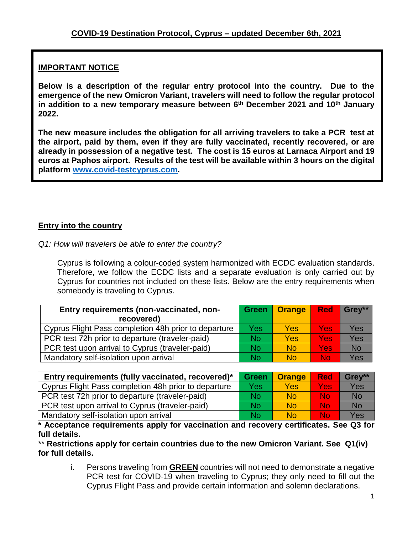## **IMPORTANT NOTICE**

**Below is a description of the regular entry protocol into the country. Due to the emergence of the new Omicron Variant, travelers will need to follow the regular protocol in addition to a new temporary measure between 6 th December 2021 and 10th January 2022.**

**The new measure includes the obligation for all arriving travelers to take a PCR test at the airport, paid by them, even if they are fully vaccinated, recently recovered, or are already in possession of a negative test. The cost is 15 euros at Larnaca Airport and 19 euros at Paphos airport. Results of the test will be available within 3 hours on the digital platform [www.covid-testcyprus.com.](http://www.covid-testcyprus.com/)**

## **Entry into the country**

*Q1: How will travelers be able to enter the country?*

Cyprus is following a colour-coded system harmonized with ECDC evaluation standards. Therefore, we follow the ECDC lists and a separate evaluation is only carried out by Cyprus for countries not included on these lists. Below are the entry requirements when somebody is traveling to Cyprus.

| Entry requirements (non-vaccinated, non-<br>recovered) |     | Green   Orange | <b>Red</b> | Grev**    |
|--------------------------------------------------------|-----|----------------|------------|-----------|
| Cyprus Flight Pass completion 48h prior to departure   | Yes | <b>Yes</b>     | Yes        | Yes       |
| PCR test 72h prior to departure (traveler-paid)        | No  | Yes            | <b>Yes</b> | Yes       |
| PCR test upon arrival to Cyprus (traveler-paid)        | No  | <b>No</b>      | <b>Yes</b> | <b>No</b> |
| Mandatory self-isolation upon arrival                  | No  | No             | No         | Yes       |

| Entry requirements (fully vaccinated, recovered)*    | <b>Green</b> | <b>Orange</b> | <b>Red</b> | Grey**    |
|------------------------------------------------------|--------------|---------------|------------|-----------|
| Cyprus Flight Pass completion 48h prior to departure | Yes          | Yes           | Yes:       | Yes       |
| PCR test 72h prior to departure (traveler-paid)      | No           | <b>No</b>     | <b>No</b>  | <b>No</b> |
| PCR test upon arrival to Cyprus (traveler-paid)      | No           | <b>No</b>     | <b>No</b>  | <b>No</b> |
| Mandatory self-isolation upon arrival                | No           | <b>No</b>     | Nol        | Yes       |

**\* Acceptance requirements apply for vaccination and recovery certificates. See Q3 for full details.**

\*\* **Restrictions apply for certain countries due to the new Omicron Variant. See Q1(iv) for full details.**

i. Persons traveling from **GREEN** countries will not need to demonstrate a negative PCR test for COVID-19 when traveling to Cyprus; they only need to fill out the Cyprus Flight Pass and provide certain information and solemn declarations.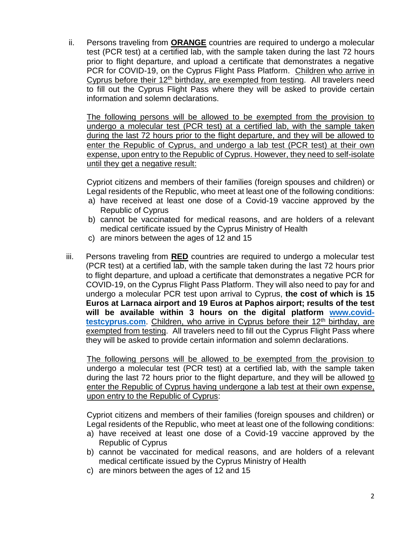ii. Persons traveling from **ORANGE** countries are required to undergo a molecular test (PCR test) at a certified lab, with the sample taken during the last 72 hours prior to flight departure, and upload a certificate that demonstrates a negative PCR for COVID-19, on the Cyprus Flight Pass Platform. Children who arrive in Cyprus before their  $12<sup>th</sup>$  birthday, are exempted from testing. All travelers need to fill out the Cyprus Flight Pass where they will be asked to provide certain information and solemn declarations.

The following persons will be allowed to be exempted from the provision to undergo a molecular test (PCR test) at a certified lab, with the sample taken during the last 72 hours prior to the flight departure, and they will be allowed to enter the Republic of Cyprus, and undergo a lab test (PCR test) at their own expense, upon entry to the Republic of Cyprus. However, they need to self-isolate until they get a negative result:

Cypriot citizens and members of their families (foreign spouses and children) or Legal residents of the Republic, who meet at least one of the following conditions:

- a) have received at least one dose of a Covid-19 vaccine approved by the Republic of Cyprus
- b) cannot be vaccinated for medical reasons, and are holders of a relevant medical certificate issued by the Cyprus Ministry of Health
- c) are minors between the ages of 12 and 15
- iii. Persons traveling from **RED** countries are required to undergo a molecular test (PCR test) at a certified lab, with the sample taken during the last 72 hours prior to flight departure, and upload a certificate that demonstrates a negative PCR for COVID-19, on the Cyprus Flight Pass Platform. They will also need to pay for and undergo a molecular PCR test upon arrival to Cyprus, **the cost of which is 15 Euros at Larnaca airport and 19 Euros at Paphos airport; results of the test will be available within 3 hours on the digital platform [www.covid](https://www.covid-testcyprus.com/)**[testcyprus.com](https://www.covid-testcyprus.com/). Children, who arrive in Cyprus before their 12<sup>th</sup> birthday, are exempted from testing. All travelers need to fill out the Cyprus Flight Pass where they will be asked to provide certain information and solemn declarations.

The following persons will be allowed to be exempted from the provision to undergo a molecular test (PCR test) at a certified lab, with the sample taken during the last 72 hours prior to the flight departure, and they will be allowed to enter the Republic of Cyprus having undergone a lab test at their own expense, upon entry to the Republic of Cyprus:

Cypriot citizens and members of their families (foreign spouses and children) or Legal residents of the Republic, who meet at least one of the following conditions:

- a) have received at least one dose of a Covid-19 vaccine approved by the Republic of Cyprus
- b) cannot be vaccinated for medical reasons, and are holders of a relevant medical certificate issued by the Cyprus Ministry of Health
- c) are minors between the ages of 12 and 15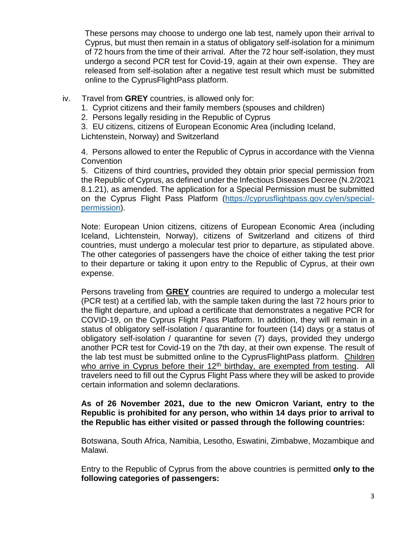These persons may choose to undergo one lab test, namely upon their arrival to Cyprus, but must then remain in a status of obligatory self-isolation for a minimum of 72 hours from the time of their arrival. After the 72 hour self-isolation, they must undergo a second PCR test for Covid-19, again at their own expense. They are released from self-isolation after a negative test result which must be submitted online to the CyprusFlightPass platform.

- iv. Travel from **GREY** countries, is allowed only for:
	- 1. Cypriot citizens and their family members (spouses and children)
	- 2. Persons legally residing in the Republic of Cyprus

3. EU citizens, citizens of European Economic Area (including Iceland,

Lichtenstein, Norway) and Switzerland

4. Persons allowed to enter the Republic of Cyprus in accordance with the Vienna **Convention** 

5. Citizens of third countries**,** provided they obtain prior special permission from the Republic of Cyprus, as defined under the Infectious Diseases Decree (N.2/2021 8.1.21), as amended. The application for a Special Permission must be submitted on the Cyprus Flight Pass Platform [\(https://cyprusflightpass.gov.cy/en/special](https://cyprusflightpass.gov.cy/en/special-permission)[permission\)](https://cyprusflightpass.gov.cy/en/special-permission).

Note: European Union citizens, citizens of European Economic Area (including Iceland, Lichtenstein, Norway), citizens of Switzerland and citizens of third countries, must undergo a molecular test prior to departure, as stipulated above. The other categories of passengers have the choice of either taking the test prior to their departure or taking it upon entry to the Republic of Cyprus, at their own expense.

Persons traveling from **GREY** countries are required to undergo a molecular test (PCR test) at a certified lab, with the sample taken during the last 72 hours prior to the flight departure, and upload a certificate that demonstrates a negative PCR for COVID-19, on the Cyprus Flight Pass Platform. In addition, they will remain in a status of obligatory self-isolation / quarantine for fourteen (14) days or a status of obligatory self-isolation / quarantine for seven (7) days, provided they undergo another PCR test for Covid-19 on the 7th day, at their own expense. The result of the lab test must be submitted online to the CyprusFlightPass platform. Children who arrive in Cyprus before their  $12<sup>th</sup>$  birthday, are exempted from testing. All travelers need to fill out the Cyprus Flight Pass where they will be asked to provide certain information and solemn declarations.

## **As of 26 November 2021, due to the new Omicron Variant, entry to the Republic is prohibited for any person, who within 14 days prior to arrival to the Republic has either visited or passed through the following countries:**

Botswana, South Africa, Namibia, Lesotho, Eswatini, Zimbabwe, Mozambique and Malawi.

Entry to the Republic of Cyprus from the above countries is permitted **only to the following categories of passengers:**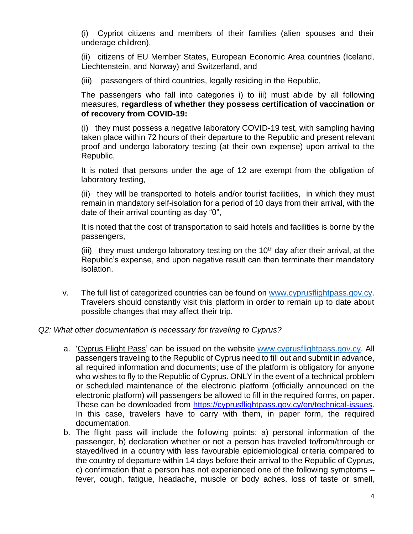(i) Cypriot citizens and members of their families (alien spouses and their underage children),

(ii) citizens of EU Member States, European Economic Area countries (Iceland, Liechtenstein, and Norway) and Switzerland, and

(iii) passengers of third countries, legally residing in the Republic,

The passengers who fall into categories i) to iii) must abide by all following measures, **regardless of whether they possess certification of vaccination or of recovery from COVID-19:**

(i) they must possess a negative laboratory COVID-19 test, with sampling having taken place within 72 hours of their departure to the Republic and present relevant proof and undergo laboratory testing (at their own expense) upon arrival to the Republic,

It is noted that persons under the age of 12 are exempt from the obligation of laboratory testing,

(ii) they will be transported to hotels and/or tourist facilities, in which they must remain in mandatory self-isolation for a period of 10 days from their arrival, with the date of their arrival counting as day "0",

It is noted that the cost of transportation to said hotels and facilities is borne by the passengers,

(iii) they must undergo laboratory testing on the  $10<sup>th</sup>$  day after their arrival, at the Republic's expense, and upon negative result can then terminate their mandatory isolation.

v. The full list of categorized countries can be found on [www.cyprusflightpass.gov.cy.](http://www.cyprusflightpass.gov.cy/) Travelers should constantly visit this platform in order to remain up to date about possible changes that may affect their trip.

## *Q2: What other documentation is necessary for traveling to Cyprus?*

- a. 'Cyprus Flight Pass' can be issued on the website [www.cyprusflightpass.gov.cy.](http://www.cyprusflightpass.gov.cy/) All passengers traveling to the Republic of Cyprus need to fill out and submit in advance, all required information and documents; use of the platform is obligatory for anyone who wishes to fly to the Republic of Cyprus. ONLY in the event of a technical problem or scheduled maintenance of the electronic platform (officially announced on the electronic platform) will passengers be allowed to fill in the required forms, on paper. These can be downloaded from [https://cyprusflightpass.gov.cy/en/technical-issues.](https://cyprusflightpass.gov.cy/en/technical-issues) In this case, travelers have to carry with them, in paper form, the required documentation.
- b. The flight pass will include the following points: a) personal information of the passenger, b) declaration whether or not a person has traveled to/from/through or stayed/lived in a country with less favourable epidemiological criteria compared to the country of departure within 14 days before their arrival to the Republic of Cyprus, c) confirmation that a person has not experienced one of the following symptoms – fever, cough, fatigue, headache, muscle or body aches, loss of taste or smell,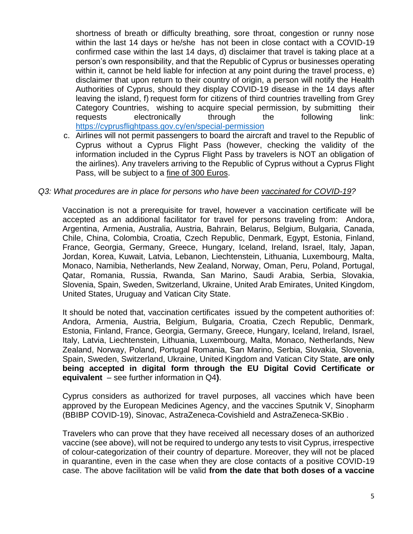shortness of breath or difficulty breathing, sore throat, congestion or runny nose within the last 14 days or he/she has not been in close contact with a COVID-19 confirmed case within the last 14 days, d) disclaimer that travel is taking place at a person's own responsibility, and that the Republic of Cyprus or businesses operating within it, cannot be held liable for infection at any point during the travel process, e) disclaimer that upon return to their country of origin, a person will notify the Health Authorities of Cyprus, should they display COVID-19 disease in the 14 days after leaving the island, f) request form for citizens of third countries travelling from Grey Category Countries, wishing to acquire special permission, by submitting their requests electronically through the following link: <https://cyprusflightpass.gov.cy/en/special-permission>

c. Airlines will not permit passengers to board the aircraft and travel to the Republic of Cyprus without a Cyprus Flight Pass (however, checking the validity of the information included in the Cyprus Flight Pass by travelers is NOT an obligation of the airlines). Any travelers arriving to the Republic of Cyprus without a Cyprus Flight Pass, will be subject to a fine of 300 Euros.

### *Q3: What procedures are in place for persons who have been vaccinated for COVID-19?*

Vaccination is not a prerequisite for travel, however a vaccination certificate will be accepted as an additional facilitator for travel for persons traveling from: Andora, Argentina, Armenia, Australia, Austria, Bahrain, Belarus, Belgium, Bulgaria, Canada, Chile, China, Colombia, Croatia, Czech Republic, Denmark, Egypt, Estonia, Finland, France, Georgia, Germany, Greece, Hungary, Iceland, Ireland, Israel, Italy, Japan, Jordan, Korea, Kuwait, Latvia, Lebanon, Liechtenstein, Lithuania, Luxembourg, Malta, Monaco, Namibia, Netherlands, New Zealand, Norway, Oman, Peru, Poland, Portugal, Qatar, Romania, Russia, Rwanda, San Marino, Saudi Arabia, Serbia, Slovakia, Slovenia, Spain, Sweden, Switzerland, Ukraine, United Arab Emirates, United Kingdom, United States, Uruguay and Vatican City State.

It should be noted that, vaccination certificates issued by the competent authorities of: Andora, Armenia, Austria, Belgium, Bulgaria, Croatia, Czech Republic, Denmark, Estonia, Finland, France, Georgia, Germany, Greece, Hungary, Iceland, Ireland, Israel, Italy, Latvia, Liechtenstein, Lithuania, Luxembourg, Malta, Monaco, Netherlands, New Zealand, Norway, Poland, Portugal Romania, San Marino, Serbia, Slovakia, Slovenia, Spain, Sweden, Switzerland, Ukraine, United Kingdom and Vatican City State, **are only being accepted in digital form through the EU Digital Covid Certificate or equivalent** – see further information in Q4**)**.

Cyprus considers as authorized for travel purposes, all vaccines which have been approved by the European Medicines Agency, and the vaccines Sputnik V, Sinopharm (BBIBP COVID-19), Sinovac, AstraZeneca-Covishield and AstraZeneca-SKBio .

Travelers who can prove that they have received all necessary doses of an authorized vaccine (see above), will not be required to undergo any tests to visit Cyprus, irrespective of colour-categorization of their country of departure. Moreover, they will not be placed in quarantine, even in the case when they are close contacts of a positive COVID-19 case. The above facilitation will be valid **from the date that both doses of a vaccine**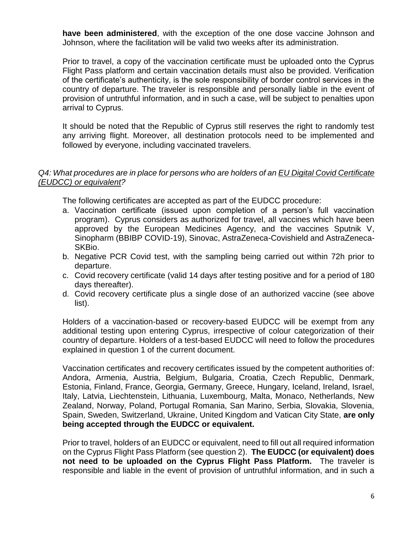**have been administered**, with the exception of the one dose vaccine Johnson and Johnson, where the facilitation will be valid two weeks after its administration.

Prior to travel, a copy of the vaccination certificate must be uploaded onto the Cyprus Flight Pass platform and certain vaccination details must also be provided. Verification of the certificate's authenticity, is the sole responsibility of border control services in the country of departure. The traveler is responsible and personally liable in the event of provision of untruthful information, and in such a case, will be subject to penalties upon arrival to Cyprus.

It should be noted that the Republic of Cyprus still reserves the right to randomly test any arriving flight. Moreover, all destination protocols need to be implemented and followed by everyone, including vaccinated travelers.

## *Q4: What procedures are in place for persons who are holders of an EU Digital Covid Certificate (EUDCC) or equivalent?*

The following certificates are accepted as part of the EUDCC procedure:

- a. Vaccination certificate (issued upon completion of a person's full vaccination program). Cyprus considers as authorized for travel, all vaccines which have been approved by the European Medicines Agency, and the vaccines Sputnik V, Sinopharm (BBIBP COVID-19), Sinovac, AstraZeneca-Covishield and AstraZeneca-SKBio.
- b. Negative PCR Covid test, with the sampling being carried out within 72h prior to departure.
- c. Covid recovery certificate (valid 14 days after testing positive and for a period of 180 days thereafter).
- d. Covid recovery certificate plus a single dose of an authorized vaccine (see above list).

Holders of a vaccination-based or recovery-based EUDCC will be exempt from any additional testing upon entering Cyprus, irrespective of colour categorization of their country of departure. Holders of a test-based EUDCC will need to follow the procedures explained in question 1 of the current document.

Vaccination certificates and recovery certificates issued by the competent authorities of: Andora, Armenia, Austria, Belgium, Bulgaria, Croatia, Czech Republic, Denmark, Estonia, Finland, France, Georgia, Germany, Greece, Hungary, Iceland, Ireland, Israel, Italy, Latvia, Liechtenstein, Lithuania, Luxembourg, Malta, Monaco, Netherlands, New Zealand, Norway, Poland, Portugal Romania, San Marino, Serbia, Slovakia, Slovenia, Spain, Sweden, Switzerland, Ukraine, United Kingdom and Vatican City State, **are only being accepted through the EUDCC or equivalent.**

Prior to travel, holders of an EUDCC or equivalent, need to fill out all required information on the Cyprus Flight Pass Platform (see question 2). **The EUDCC (or equivalent) does not need to be uploaded on the Cyprus Flight Pass Platform.** The traveler is responsible and liable in the event of provision of untruthful information, and in such a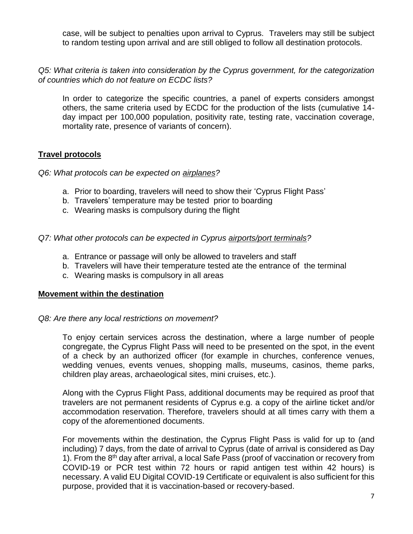case, will be subject to penalties upon arrival to Cyprus. Travelers may still be subject to random testing upon arrival and are still obliged to follow all destination protocols.

*Q5: What criteria is taken into consideration by the Cyprus government, for the categorization of countries which do not feature on ECDC lists?*

In order to categorize the specific countries, a panel of experts considers amongst others, the same criteria used by ECDC for the production of the lists (cumulative 14 day impact per 100,000 population, positivity rate, testing rate, vaccination coverage, mortality rate, presence of variants of concern).

## **Travel protocols**

*Q6: What protocols can be expected on airplanes?*

- a. Prior to boarding, travelers will need to show their 'Cyprus Flight Pass'
- b. Travelers' temperature may be tested prior to boarding
- c. Wearing masks is compulsory during the flight

#### *Q7: What other protocols can be expected in Cyprus airports/port terminals?*

- a. Entrance or passage will only be allowed to travelers and staff
- b. Travelers will have their temperature tested ate the entrance of the terminal
- c. Wearing masks is compulsory in all areas

#### **Movement within the destination**

#### *Q8: Are there any local restrictions on movement?*

To enjoy certain services across the destination, where a large number of people congregate, the Cyprus Flight Pass will need to be presented on the spot, in the event of a check by an authorized officer (for example in churches, conference venues, wedding venues, events venues, shopping malls, museums, casinos, theme parks, children play areas, archaeological sites, mini cruises, etc.).

Along with the Cyprus Flight Pass, additional documents may be required as proof that travelers are not permanent residents of Cyprus e.g. a copy of the airline ticket and/or accommodation reservation. Therefore, travelers should at all times carry with them a copy of the aforementioned documents.

For movements within the destination, the Cyprus Flight Pass is valid for up to (and including) 7 days, from the date of arrival to Cyprus (date of arrival is considered as Day 1). From the 8<sup>th</sup> day after arrival, a local Safe Pass (proof of vaccination or recovery from COVID-19 or PCR test within 72 hours or rapid antigen test within 42 hours) is necessary. A valid EU Digital COVID-19 Certificate or equivalent is also sufficient for this purpose, provided that it is vaccination-based or recovery-based.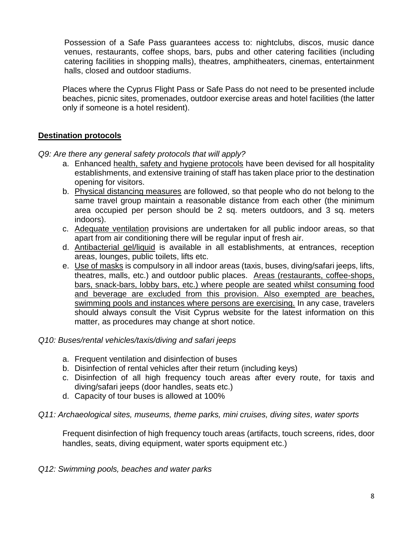Possession of a Safe Pass guarantees access to: nightclubs, discos, music dance venues, restaurants, coffee shops, bars, pubs and other catering facilities (including catering facilities in shopping malls), theatres, amphitheaters, cinemas, entertainment halls, closed and outdoor stadiums.

Places where the Cyprus Flight Pass or Safe Pass do not need to be presented include beaches, picnic sites, promenades, outdoor exercise areas and hotel facilities (the latter only if someone is a hotel resident).

## **Destination protocols**

*Q9: Are there any general safety protocols that will apply?*

- a. Enhanced health, safety and hygiene protocols have been devised for all hospitality establishments, and extensive training of staff has taken place prior to the destination opening for visitors.
- b. Physical distancing measures are followed, so that people who do not belong to the same travel group maintain a reasonable distance from each other (the minimum area occupied per person should be 2 sq. meters outdoors, and 3 sq. meters indoors).
- c. Adequate ventilation provisions are undertaken for all public indoor areas, so that apart from air conditioning there will be regular input of fresh air.
- d. Antibacterial gel/liquid is available in all establishments, at entrances, reception areas, lounges, public toilets, lifts etc.
- e. Use of masks is compulsory in all indoor areas (taxis, buses, diving/safari jeeps, lifts, theatres, malls, etc.) and outdoor public places. Areas (restaurants, coffee-shops, bars, snack-bars, lobby bars, etc.) where people are seated whilst consuming food and beverage are excluded from this provision. Also exempted are beaches, swimming pools and instances where persons are exercising. In any case, travelers should always consult the Visit Cyprus website for the latest information on this matter, as procedures may change at short notice.

## *Q10: Buses/rental vehicles/taxis/diving and safari jeeps*

- a. Frequent ventilation and disinfection of buses
- b. Disinfection of rental vehicles after their return (including keys)
- c. Disinfection of all high frequency touch areas after every route, for taxis and diving/safari jeeps (door handles, seats etc.)
- d. Capacity of tour buses is allowed at 100%

#### *Q11: Archaeological sites, museums, theme parks, mini cruises, diving sites, water sports*

Frequent disinfection of high frequency touch areas (artifacts, touch screens, rides, door handles, seats, diving equipment, water sports equipment etc.)

*Q12: Swimming pools, beaches and water parks*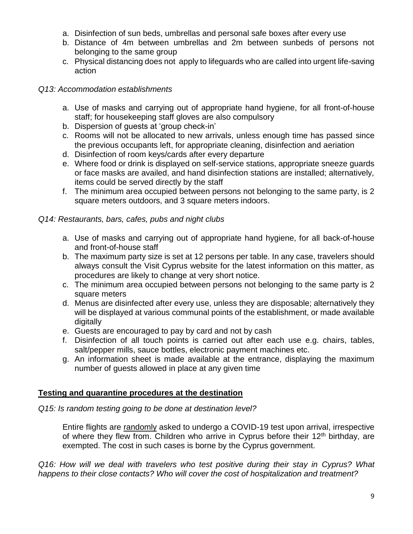- a. Disinfection of sun beds, umbrellas and personal safe boxes after every use
- b. Distance of 4m between umbrellas and 2m between sunbeds of persons not belonging to the same group
- c. Physical distancing does not apply to lifeguards who are called into urgent life-saving action

## *Q13: Accommodation establishments*

- a. Use of masks and carrying out of appropriate hand hygiene, for all front-of-house staff; for housekeeping staff gloves are also compulsory
- b. Dispersion of guests at 'group check-in'
- c. Rooms will not be allocated to new arrivals, unless enough time has passed since the previous occupants left, for appropriate cleaning, disinfection and aeriation
- d. Disinfection of room keys/cards after every departure
- e. Where food or drink is displayed on self-service stations, appropriate sneeze guards or face masks are availed, and hand disinfection stations are installed; alternatively, items could be served directly by the staff
- f. The minimum area occupied between persons not belonging to the same party, is 2 square meters outdoors, and 3 square meters indoors.

# *Q14: Restaurants, bars, cafes, pubs and night clubs*

- a. Use of masks and carrying out of appropriate hand hygiene, for all back-of-house and front-of-house staff
- b. The maximum party size is set at 12 persons per table. In any case, travelers should always consult the Visit Cyprus website for the latest information on this matter, as procedures are likely to change at very short notice.
- c. The minimum area occupied between persons not belonging to the same party is 2 square meters
- d. Menus are disinfected after every use, unless they are disposable; alternatively they will be displayed at various communal points of the establishment, or made available digitally
- e. Guests are encouraged to pay by card and not by cash
- f. Disinfection of all touch points is carried out after each use e.g. chairs, tables, salt/pepper mills, sauce bottles, electronic payment machines etc.
- g. An information sheet is made available at the entrance, displaying the maximum number of guests allowed in place at any given time

# **Testing and quarantine procedures at the destination**

*Q15: Is random testing going to be done at destination level?*

Entire flights are randomly asked to undergo a COVID-19 test upon arrival, irrespective of where they flew from. Children who arrive in Cyprus before their  $12<sup>th</sup>$  birthday, are exempted. The cost in such cases is borne by the Cyprus government.

*Q16: How will we deal with travelers who test positive during their stay in Cyprus? What happens to their close contacts? Who will cover the cost of hospitalization and treatment?*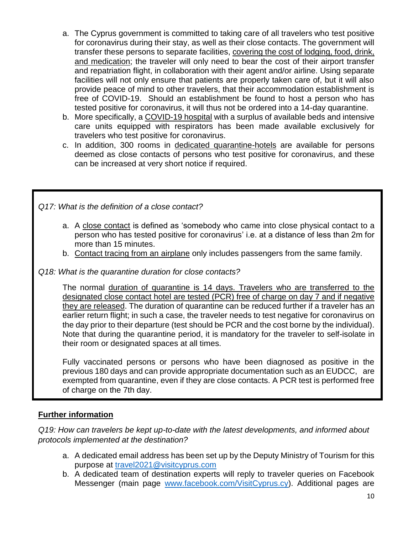- a. The Cyprus government is committed to taking care of all travelers who test positive for coronavirus during their stay, as well as their close contacts. The government will transfer these persons to separate facilities, covering the cost of lodging, food, drink, and medication; the traveler will only need to bear the cost of their airport transfer and repatriation flight, in collaboration with their agent and/or airline. Using separate facilities will not only ensure that patients are properly taken care of, but it will also provide peace of mind to other travelers, that their accommodation establishment is free of COVID-19. Should an establishment be found to host a person who has tested positive for coronavirus, it will thus not be ordered into a 14-day quarantine.
- b. More specifically, a COVID-19 hospital with a surplus of available beds and intensive care units equipped with respirators has been made available exclusively for travelers who test positive for coronavirus.
- c. In addition, 300 rooms in dedicated quarantine-hotels are available for persons deemed as close contacts of persons who test positive for coronavirus, and these can be increased at very short notice if required.

*Q17: What is the definition of a close contact?*

- a. A close contact is defined as 'somebody who came into close physical contact to a person who has tested positive for coronavirus' i.e. at a distance of less than 2m for more than 15 minutes.
- b. Contact tracing from an airplane only includes passengers from the same family.

## *Q18: What is the quarantine duration for close contacts?*

The normal duration of quarantine is 14 days. Travelers who are transferred to the designated close contact hotel are tested (PCR) free of charge on day 7 and if negative they are released. The duration of quarantine can be reduced further if a traveler has an earlier return flight; in such a case, the traveler needs to test negative for coronavirus on the day prior to their departure (test should be PCR and the cost borne by the individual). Note that during the quarantine period, it is mandatory for the traveler to self-isolate in their room or designated spaces at all times.

Fully vaccinated persons or persons who have been diagnosed as positive in the previous 180 days and can provide appropriate documentation such as an EUDCC, are exempted from quarantine, even if they are close contacts. A PCR test is performed free of charge on the 7th day.

## **Further information**

*Q19: How can travelers be kept up-to-date with the latest developments, and informed about protocols implemented at the destination?*

- a. A dedicated email address has been set up by the Deputy Ministry of Tourism for this purpose at [travel2021@visitcyprus.com](mailto:travel2021@visitcyprus.com)
- b. A dedicated team of destination experts will reply to traveler queries on Facebook Messenger (main page [www.facebook.com/VisitCyprus.cy\)](http://www.facebook.com/VisitCyprus.cy). Additional pages are